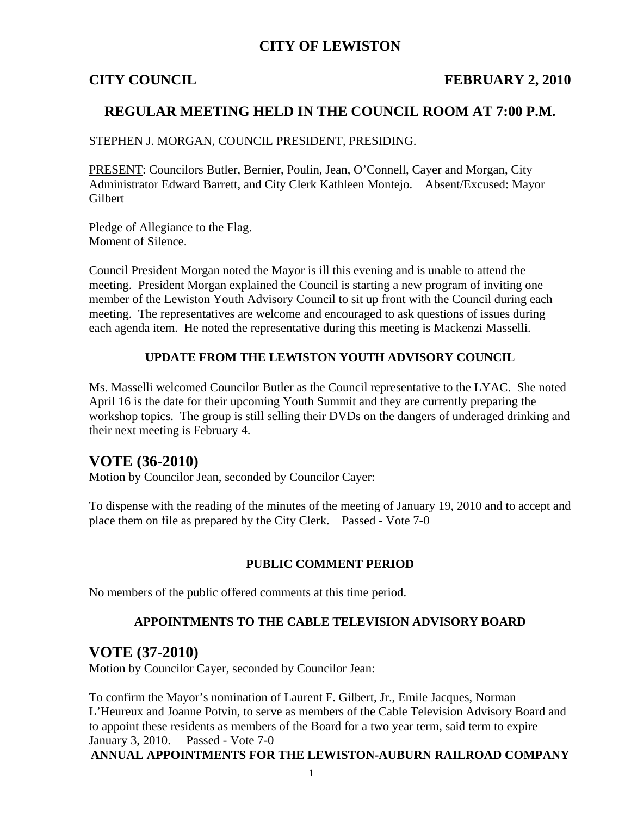## **CITY OF LEWISTON**

### **CITY COUNCIL FEBRUARY 2, 2010**

## **REGULAR MEETING HELD IN THE COUNCIL ROOM AT 7:00 P.M.**

STEPHEN J. MORGAN, COUNCIL PRESIDENT, PRESIDING.

PRESENT: Councilors Butler, Bernier, Poulin, Jean, O'Connell, Cayer and Morgan, City Administrator Edward Barrett, and City Clerk Kathleen Montejo. Absent/Excused: Mayor **Gilbert** 

Pledge of Allegiance to the Flag. Moment of Silence.

Council President Morgan noted the Mayor is ill this evening and is unable to attend the meeting. President Morgan explained the Council is starting a new program of inviting one member of the Lewiston Youth Advisory Council to sit up front with the Council during each meeting. The representatives are welcome and encouraged to ask questions of issues during each agenda item. He noted the representative during this meeting is Mackenzi Masselli.

#### **UPDATE FROM THE LEWISTON YOUTH ADVISORY COUNCIL**

Ms. Masselli welcomed Councilor Butler as the Council representative to the LYAC. She noted April 16 is the date for their upcoming Youth Summit and they are currently preparing the workshop topics. The group is still selling their DVDs on the dangers of underaged drinking and their next meeting is February 4.

## **VOTE (36-2010)**

Motion by Councilor Jean, seconded by Councilor Cayer:

To dispense with the reading of the minutes of the meeting of January 19, 2010 and to accept and place them on file as prepared by the City Clerk. Passed - Vote 7-0

#### **PUBLIC COMMENT PERIOD**

No members of the public offered comments at this time period.

#### **APPOINTMENTS TO THE CABLE TELEVISION ADVISORY BOARD**

### **VOTE (37-2010)**

Motion by Councilor Cayer, seconded by Councilor Jean:

To confirm the Mayor's nomination of Laurent F. Gilbert, Jr., Emile Jacques, Norman L'Heureux and Joanne Potvin, to serve as members of the Cable Television Advisory Board and to appoint these residents as members of the Board for a two year term, said term to expire January 3, 2010. Passed - Vote 7-0

**ANNUAL APPOINTMENTS FOR THE LEWISTON-AUBURN RAILROAD COMPANY**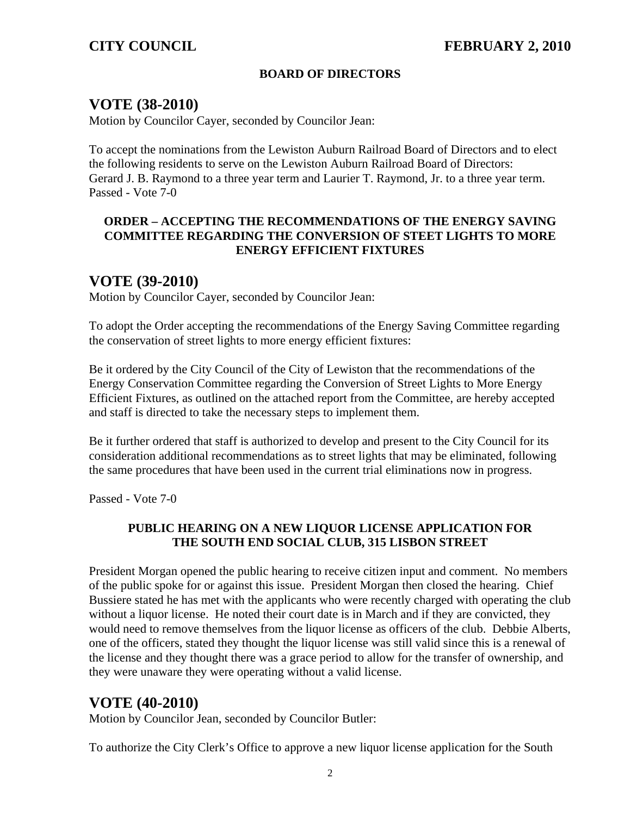## **BOARD OF DIRECTORS**

# **VOTE (38-2010)**

Motion by Councilor Cayer, seconded by Councilor Jean:

To accept the nominations from the Lewiston Auburn Railroad Board of Directors and to elect the following residents to serve on the Lewiston Auburn Railroad Board of Directors: Gerard J. B. Raymond to a three year term and Laurier T. Raymond, Jr. to a three year term. Passed - Vote 7-0

### **ORDER – ACCEPTING THE RECOMMENDATIONS OF THE ENERGY SAVING COMMITTEE REGARDING THE CONVERSION OF STEET LIGHTS TO MORE ENERGY EFFICIENT FIXTURES**

# **VOTE (39-2010)**

Motion by Councilor Cayer, seconded by Councilor Jean:

To adopt the Order accepting the recommendations of the Energy Saving Committee regarding the conservation of street lights to more energy efficient fixtures:

Be it ordered by the City Council of the City of Lewiston that the recommendations of the Energy Conservation Committee regarding the Conversion of Street Lights to More Energy Efficient Fixtures, as outlined on the attached report from the Committee, are hereby accepted and staff is directed to take the necessary steps to implement them.

Be it further ordered that staff is authorized to develop and present to the City Council for its consideration additional recommendations as to street lights that may be eliminated, following the same procedures that have been used in the current trial eliminations now in progress.

Passed - Vote 7-0

### **PUBLIC HEARING ON A NEW LIQUOR LICENSE APPLICATION FOR THE SOUTH END SOCIAL CLUB, 315 LISBON STREET**

President Morgan opened the public hearing to receive citizen input and comment. No members of the public spoke for or against this issue. President Morgan then closed the hearing. Chief Bussiere stated he has met with the applicants who were recently charged with operating the club without a liquor license. He noted their court date is in March and if they are convicted, they would need to remove themselves from the liquor license as officers of the club. Debbie Alberts, one of the officers, stated they thought the liquor license was still valid since this is a renewal of the license and they thought there was a grace period to allow for the transfer of ownership, and they were unaware they were operating without a valid license.

# **VOTE (40-2010)**

Motion by Councilor Jean, seconded by Councilor Butler:

To authorize the City Clerk's Office to approve a new liquor license application for the South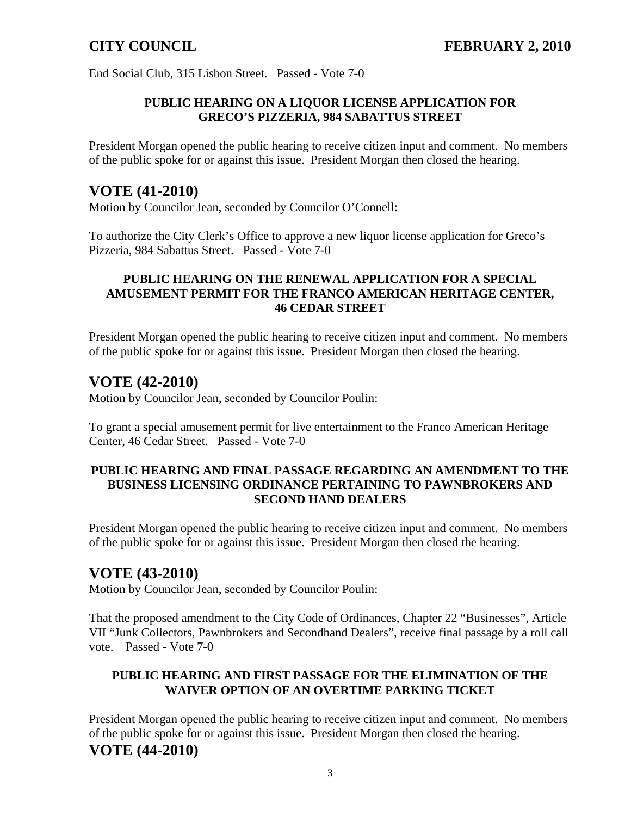End Social Club, 315 Lisbon Street. Passed - Vote 7-0

#### **PUBLIC HEARING ON A LIQUOR LICENSE APPLICATION FOR GRECO'S PIZZERIA, 984 SABATTUS STREET**

President Morgan opened the public hearing to receive citizen input and comment. No members of the public spoke for or against this issue. President Morgan then closed the hearing.

## **VOTE (41-2010)**

Motion by Councilor Jean, seconded by Councilor O'Connell:

To authorize the City Clerk's Office to approve a new liquor license application for Greco's Pizzeria, 984 Sabattus Street. Passed - Vote 7-0

#### **PUBLIC HEARING ON THE RENEWAL APPLICATION FOR A SPECIAL AMUSEMENT PERMIT FOR THE FRANCO AMERICAN HERITAGE CENTER, 46 CEDAR STREET**

President Morgan opened the public hearing to receive citizen input and comment. No members of the public spoke for or against this issue. President Morgan then closed the hearing.

# **VOTE (42-2010)**

Motion by Councilor Jean, seconded by Councilor Poulin:

To grant a special amusement permit for live entertainment to the Franco American Heritage Center, 46 Cedar Street. Passed - Vote 7-0

#### **PUBLIC HEARING AND FINAL PASSAGE REGARDING AN AMENDMENT TO THE BUSINESS LICENSING ORDINANCE PERTAINING TO PAWNBROKERS AND SECOND HAND DEALERS**

President Morgan opened the public hearing to receive citizen input and comment. No members of the public spoke for or against this issue. President Morgan then closed the hearing.

# **VOTE (43-2010)**

Motion by Councilor Jean, seconded by Councilor Poulin:

That the proposed amendment to the City Code of Ordinances, Chapter 22 "Businesses", Article VII "Junk Collectors, Pawnbrokers and Secondhand Dealers", receive final passage by a roll call vote. Passed - Vote 7-0

### **PUBLIC HEARING AND FIRST PASSAGE FOR THE ELIMINATION OF THE WAIVER OPTION OF AN OVERTIME PARKING TICKET**

President Morgan opened the public hearing to receive citizen input and comment. No members of the public spoke for or against this issue. President Morgan then closed the hearing. **VOTE (44-2010)**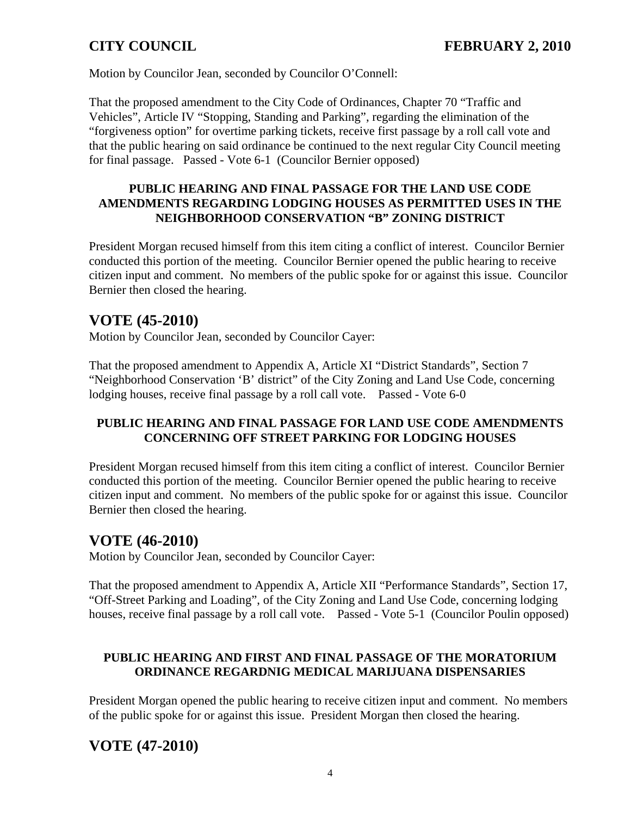Motion by Councilor Jean, seconded by Councilor O'Connell:

That the proposed amendment to the City Code of Ordinances, Chapter 70 "Traffic and Vehicles", Article IV "Stopping, Standing and Parking", regarding the elimination of the "forgiveness option" for overtime parking tickets, receive first passage by a roll call vote and that the public hearing on said ordinance be continued to the next regular City Council meeting for final passage. Passed - Vote 6-1 (Councilor Bernier opposed)

### **PUBLIC HEARING AND FINAL PASSAGE FOR THE LAND USE CODE AMENDMENTS REGARDING LODGING HOUSES AS PERMITTED USES IN THE NEIGHBORHOOD CONSERVATION "B" ZONING DISTRICT**

President Morgan recused himself from this item citing a conflict of interest. Councilor Bernier conducted this portion of the meeting. Councilor Bernier opened the public hearing to receive citizen input and comment. No members of the public spoke for or against this issue. Councilor Bernier then closed the hearing.

# **VOTE (45-2010)**

Motion by Councilor Jean, seconded by Councilor Cayer:

That the proposed amendment to Appendix A, Article XI "District Standards", Section 7 "Neighborhood Conservation 'B' district" of the City Zoning and Land Use Code, concerning lodging houses, receive final passage by a roll call vote. Passed - Vote 6-0

## **PUBLIC HEARING AND FINAL PASSAGE FOR LAND USE CODE AMENDMENTS CONCERNING OFF STREET PARKING FOR LODGING HOUSES**

President Morgan recused himself from this item citing a conflict of interest. Councilor Bernier conducted this portion of the meeting. Councilor Bernier opened the public hearing to receive citizen input and comment. No members of the public spoke for or against this issue. Councilor Bernier then closed the hearing.

# **VOTE (46-2010)**

Motion by Councilor Jean, seconded by Councilor Cayer:

That the proposed amendment to Appendix A, Article XII "Performance Standards", Section 17, "Off-Street Parking and Loading", of the City Zoning and Land Use Code, concerning lodging houses, receive final passage by a roll call vote. Passed - Vote 5-1 (Councilor Poulin opposed)

## **PUBLIC HEARING AND FIRST AND FINAL PASSAGE OF THE MORATORIUM ORDINANCE REGARDNIG MEDICAL MARIJUANA DISPENSARIES**

President Morgan opened the public hearing to receive citizen input and comment. No members of the public spoke for or against this issue. President Morgan then closed the hearing.

# **VOTE (47-2010)**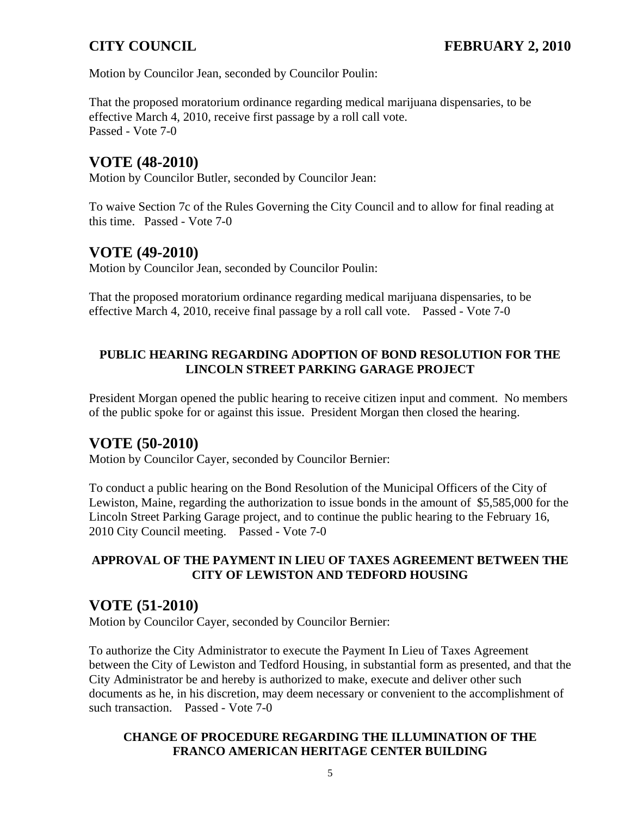Motion by Councilor Jean, seconded by Councilor Poulin:

That the proposed moratorium ordinance regarding medical marijuana dispensaries, to be effective March 4, 2010, receive first passage by a roll call vote. Passed - Vote 7-0

# **VOTE (48-2010)**

Motion by Councilor Butler, seconded by Councilor Jean:

To waive Section 7c of the Rules Governing the City Council and to allow for final reading at this time. Passed - Vote 7-0

# **VOTE (49-2010)**

Motion by Councilor Jean, seconded by Councilor Poulin:

That the proposed moratorium ordinance regarding medical marijuana dispensaries, to be effective March 4, 2010, receive final passage by a roll call vote. Passed - Vote 7-0

## **PUBLIC HEARING REGARDING ADOPTION OF BOND RESOLUTION FOR THE LINCOLN STREET PARKING GARAGE PROJECT**

President Morgan opened the public hearing to receive citizen input and comment. No members of the public spoke for or against this issue. President Morgan then closed the hearing.

# **VOTE (50-2010)**

Motion by Councilor Cayer, seconded by Councilor Bernier:

To conduct a public hearing on the Bond Resolution of the Municipal Officers of the City of Lewiston, Maine, regarding the authorization to issue bonds in the amount of \$5,585,000 for the Lincoln Street Parking Garage project, and to continue the public hearing to the February 16, 2010 City Council meeting. Passed - Vote 7-0

## **APPROVAL OF THE PAYMENT IN LIEU OF TAXES AGREEMENT BETWEEN THE CITY OF LEWISTON AND TEDFORD HOUSING**

# **VOTE (51-2010)**

Motion by Councilor Cayer, seconded by Councilor Bernier:

To authorize the City Administrator to execute the Payment In Lieu of Taxes Agreement between the City of Lewiston and Tedford Housing, in substantial form as presented, and that the City Administrator be and hereby is authorized to make, execute and deliver other such documents as he, in his discretion, may deem necessary or convenient to the accomplishment of such transaction. Passed - Vote 7-0

### **CHANGE OF PROCEDURE REGARDING THE ILLUMINATION OF THE FRANCO AMERICAN HERITAGE CENTER BUILDING**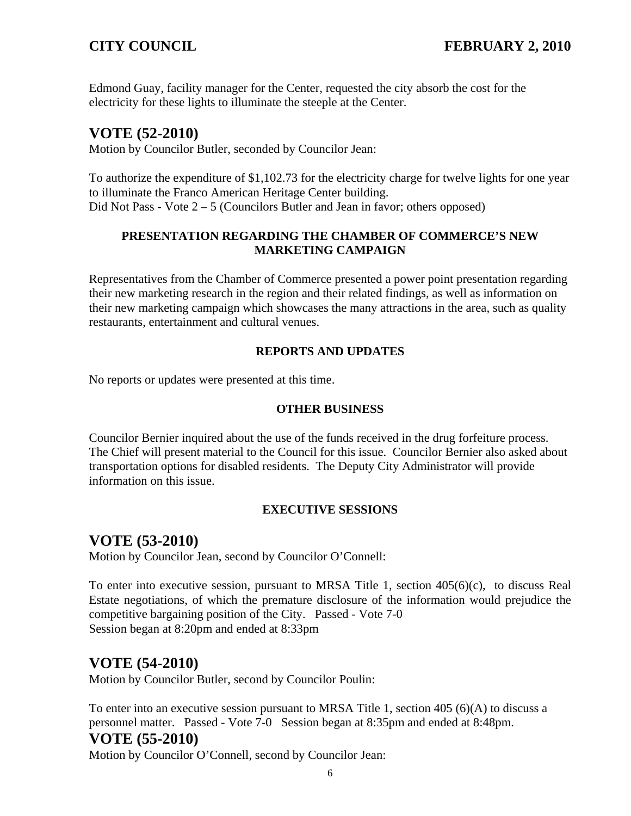Edmond Guay, facility manager for the Center, requested the city absorb the cost for the electricity for these lights to illuminate the steeple at the Center.

# **VOTE (52-2010)**

Motion by Councilor Butler, seconded by Councilor Jean:

To authorize the expenditure of \$1,102.73 for the electricity charge for twelve lights for one year to illuminate the Franco American Heritage Center building. Did Not Pass - Vote 2 – 5 (Councilors Butler and Jean in favor; others opposed)

### **PRESENTATION REGARDING THE CHAMBER OF COMMERCE'S NEW MARKETING CAMPAIGN**

Representatives from the Chamber of Commerce presented a power point presentation regarding their new marketing research in the region and their related findings, as well as information on their new marketing campaign which showcases the many attractions in the area, such as quality restaurants, entertainment and cultural venues.

### **REPORTS AND UPDATES**

No reports or updates were presented at this time.

### **OTHER BUSINESS**

Councilor Bernier inquired about the use of the funds received in the drug forfeiture process. The Chief will present material to the Council for this issue. Councilor Bernier also asked about transportation options for disabled residents. The Deputy City Administrator will provide information on this issue.

### **EXECUTIVE SESSIONS**

# **VOTE (53-2010)**

Motion by Councilor Jean, second by Councilor O'Connell:

To enter into executive session, pursuant to MRSA Title 1, section 405(6)(c), to discuss Real Estate negotiations, of which the premature disclosure of the information would prejudice the competitive bargaining position of the City. Passed - Vote 7-0Session began at 8:20pm and ended at 8:33pm

# **VOTE (54-2010)**

Motion by Councilor Butler, second by Councilor Poulin:

To enter into an executive session pursuant to MRSA Title 1, section 405 (6)(A) to discuss a personnel matter. Passed - Vote 7-0 Session began at 8:35pm and ended at 8:48pm.

# **VOTE (55-2010)**

Motion by Councilor O'Connell, second by Councilor Jean: